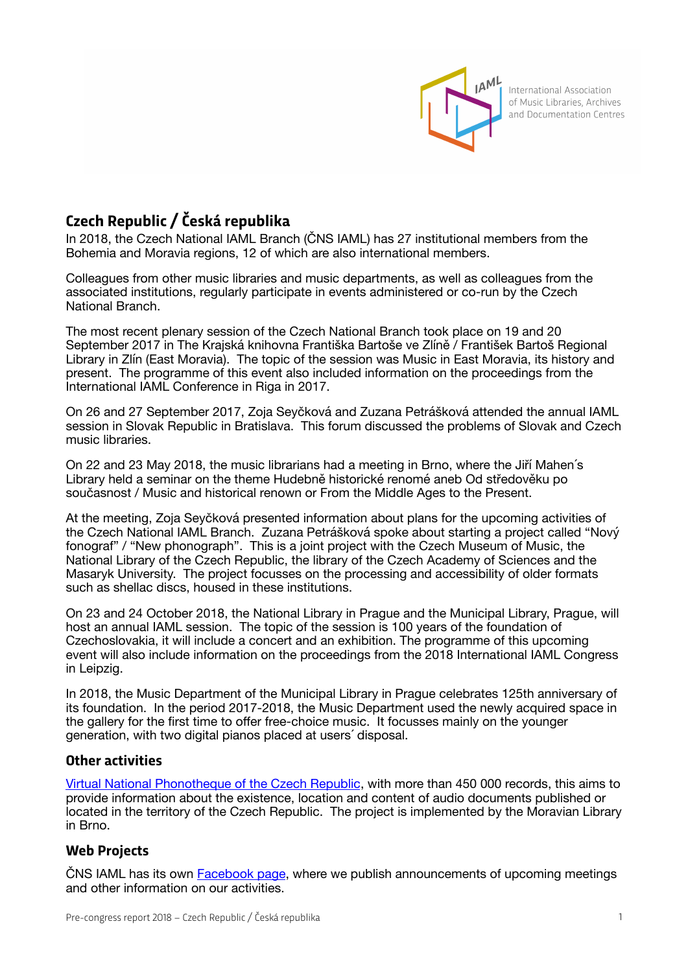

International Association of Music Libraries, Archives and Documentation Centres

## **Czech Republic / Česká republika**

In 2018, the Czech National IAML Branch (ČNS IAML) has 27 institutional members from the Bohemia and Moravia regions, 12 of which are also international members.

Colleagues from other music libraries and music departments, as well as colleagues from the associated institutions, regularly participate in events administered or co-run by the Czech National Branch.

The most recent plenary session of the Czech National Branch took place on 19 and 20 September 2017 in The Krajská knihovna Františka Bartoše ve Zlíně / František Bartoš Regional Library in Zlín (East Moravia). The topic of the session was Music in East Moravia, its history and present. The programme of this event also included information on the proceedings from the International IAML Conference in Riga in 2017.

On 26 and 27 September 2017, Zoja Seyčková and Zuzana Petrášková attended the annual IAML session in Slovak Republic in Bratislava. This forum discussed the problems of Slovak and Czech music libraries.

On 22 and 23 May 2018, the music librarians had a meeting in Brno, where the Jiří Mahen´s Library held a seminar on the theme Hudebně historické renomé aneb Od středověku po současnost / Music and historical renown or From the Middle Ages to the Present.

At the meeting, Zoja Seyčková presented information about plans for the upcoming activities of the Czech National IAML Branch. Zuzana Petrášková spoke about starting a project called "Nový fonograf" / "New phonograph". This is a joint project with the Czech Museum of Music, the National Library of the Czech Republic, the library of the Czech Academy of Sciences and the Masaryk University. The project focusses on the processing and accessibility of older formats such as shellac discs, housed in these institutions.

On 23 and 24 October 2018, the National Library in Prague and the Municipal Library, Prague, will host an annual IAML session. The topic of the session is 100 years of the foundation of Czechoslovakia, it will include a concert and an exhibition. The programme of this upcoming event will also include information on the proceedings from the 2018 International IAML Congress in Leipzig.

In 2018, the Music Department of the Municipal Library in Prague celebrates 125th anniversary of its foundation. In the period 2017-2018, the Music Department used the newly acquired space in the gallery for the first time to offer free-choice music. It focusses mainly on the younger generation, with two digital pianos placed at users´ disposal.

## **Other activities**

[Virtual National Phonotheque of the Czech Republic](https://www.narodnifonoteka.cz/), with more than 450 000 records, this aims to provide information about the existence, location and content of audio documents published or located in the territory of the Czech Republic. The project is implemented by the Moravian Library in Brno.

## **Web Projects**

ČNS IAML has its own [Facebook page](https://www.facebook.com/groups/467059256651444/), where we publish announcements of upcoming meetings and other information on our activities.